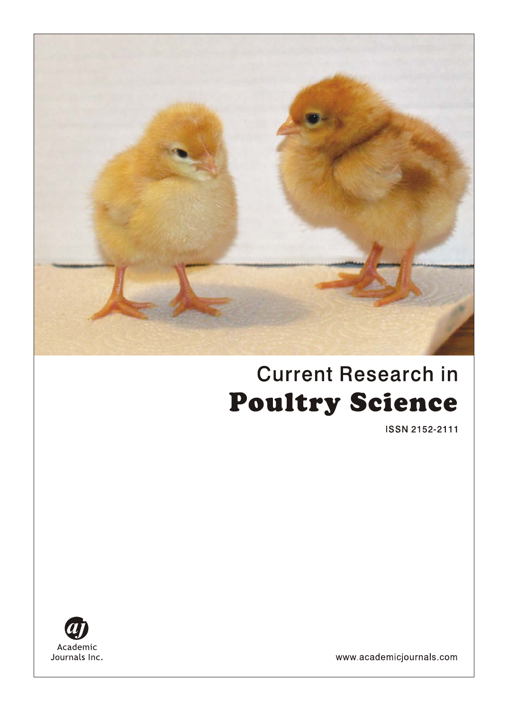

# **Current Research in Poultry Science**

ISSN 2152-2111



www.academicjournals.com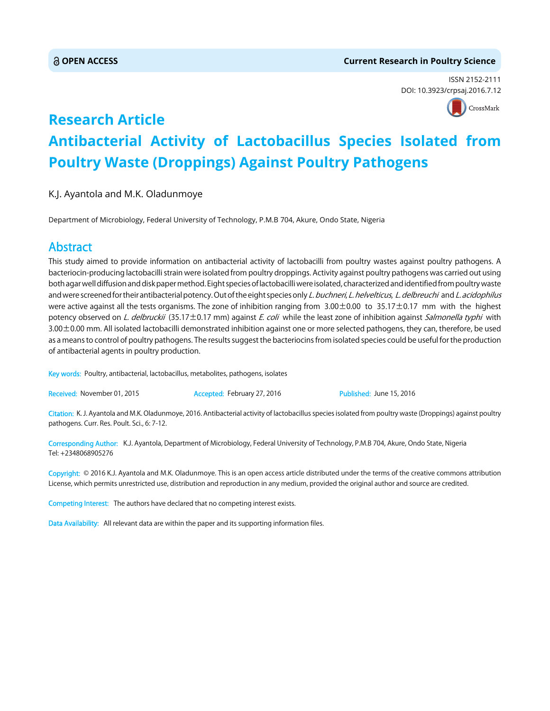#### **OPEN ACCESS Current Research in Poultry Science**

ISSN 2152-2111 DOI: 10.3923/crpsaj.2016.7.12



## **Research Article Antibacterial Activity of Lactobacillus Species Isolated from Poultry Waste (Droppings) Against Poultry Pathogens**

K.J. Ayantola and M.K. Oladunmoye

Department of Microbiology, Federal University of Technology, P.M.B 704, Akure, Ondo State, Nigeria

### Abstract

This study aimed to provide information on antibacterial activity of lactobacilli from poultry wastes against poultry pathogens. A bacteriocin-producing lactobacilli strain were isolated from poultry droppings. Activity against poultry pathogens was carried out using both agar well diffusion and disk paper method. Eight species of lactobacilli were isolated, characterized and identified from poultry waste and were screened for their antibacterial potency. Out of the eight species only L. buchneri, L. helvelticus, L. delbreuchi and L. acidophilus were active against all the tests organisms. The zone of inhibition ranging from 3.00±0.00 to 35.17±0.17 mm with the highest potency observed on L. delbruckii (35.17±0.17 mm) against E. coli while the least zone of inhibition against Salmonella typhi with 3.00±0.00 mm. All isolated lactobacilli demonstrated inhibition against one or more selected pathogens, they can, therefore, be used as a means to control of poultry pathogens. The results suggest the bacteriocins from isolated species could be useful for the production of antibacterial agents in poultry production.

Key words: Poultry, antibacterial, lactobacillus, metabolites, pathogens, isolates

Received: November 01, 2015 **Accepted: February 27, 2016** Published: June 15, 2016

Citation: K. J. Ayantola and M.K. Oladunmoye, 2016. Antibacterial activity of lactobacillus species isolated from poultry waste (Droppings) against poultry pathogens. Curr. Res. Poult. Sci., 6: 7-12.

Corresponding Author: K.J. Ayantola, Department of Microbiology, Federal University of Technology, P.M.B 704, Akure, Ondo State, Nigeria Tel: +2348068905276

Copyright: © 2016 K.J. Ayantola and M.K. Oladunmoye. This is an open access article distributed under the terms of the creative commons attribution License, which permits unrestricted use, distribution and reproduction in any medium, provided the original author and source are credited.

Competing Interest: The authors have declared that no competing interest exists.

Data Availability: All relevant data are within the paper and its supporting information files.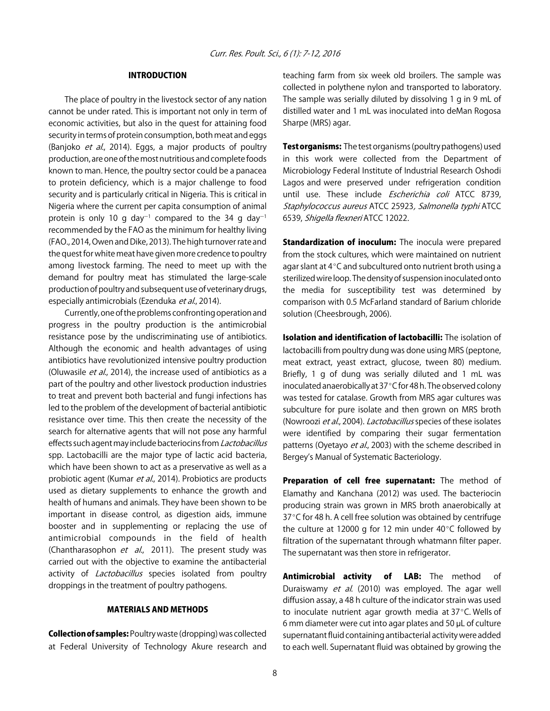#### INTRODUCTION

The place of poultry in the livestock sector of any nation cannot be under rated. This is important not only in term of economic activities, but also in the quest for attaining food security in terms of protein consumption, both meat and eggs (Banjoko et al., 2014). Eggs, a major products of poultry production, are one of the most nutritious and complete foods known to man. Hence, the poultry sector could be a panacea to protein deficiency, which is a major challenge to food security and is particularly critical in Nigeria. This is critical in Nigeria where the current per capita consumption of animal protein is only 10 g day<sup>-1</sup> compared to the 34 g day<sup>-1</sup> recommended by the FAO as the minimum for healthy living (FAO., 2014, Owen and Dike, 2013). The high turnover rate and the quest for white meat have given more credence to poultry among livestock farming. The need to meet up with the demand for poultry meat has stimulated the large-scale production of poultry and subsequent use of veterinary drugs, especially antimicrobials (Ezenduka et al., 2014).

Currently, one of the problems confronting operation and progress in the poultry production is the antimicrobial resistance pose by the undiscriminating use of antibiotics. Although the economic and health advantages of using antibiotics have revolutionized intensive poultry production (Oluwasile et al., 2014), the increase used of antibiotics as a part of the poultry and other livestock production industries to treat and prevent both bacterial and fungi infections has led to the problem of the development of bacterial antibiotic resistance over time. This then create the necessity of the search for alternative agents that will not pose any harmful effects such agent may include bacteriocins from Lactobacillus spp. Lactobacilli are the major type of lactic acid bacteria, which have been shown to act as a preservative as well as a probiotic agent (Kumar et al., 2014). Probiotics are products used as dietary supplements to enhance the growth and health of humans and animals. They have been shown to be important in disease control, as digestion aids, immune booster and in supplementing or replacing the use of antimicrobial compounds in the field of health (Chantharasophon et al., 2011). The present study was carried out with the objective to examine the antibacterial activity of *Lactobacillus* species isolated from poultry droppings in the treatment of poultry pathogens.

#### MATERIALS AND METHODS

Collection of samples: Poultry waste (dropping) was collected at Federal University of Technology Akure research and teaching farm from six week old broilers. The sample was collected in polythene nylon and transported to laboratory. The sample was serially diluted by dissolving 1 g in 9 mL of distilled water and 1 mL was inoculated into deMan Rogosa Sharpe (MRS) agar.

**Test organisms:** The test organisms (poultry pathogens) used in this work were collected from the Department of Microbiology Federal Institute of Industrial Research Oshodi Lagos and were preserved under refrigeration condition until use. These include *Escherichia coli* ATCC 8739, Staphylococcus aureus ATCC 25923, Salmonella typhi ATCC 6539, Shigella flexneri ATCC 12022.

Standardization of inoculum: The inocula were prepared from the stock cultures, which were maintained on nutrient agar slant at  $4^{\circ}$ C and subcultured onto nutrient broth using a sterilized wire loop. The density of suspension inoculated onto the media for susceptibility test was determined by comparison with 0.5 McFarland standard of Barium chloride solution (Cheesbrough, 2006).

Isolation and identification of lactobacilli: The isolation of lactobacilli from poultry dung was done using MRS (peptone, meat extract, yeast extract, glucose, tween 80) medium. Briefly, 1 g of dung was serially diluted and 1 mL was inoculated anaerobically at 37°C for 48 h. The observed colony was tested for catalase. Growth from MRS agar cultures was subculture for pure isolate and then grown on MRS broth (Nowroozi et al., 2004). Lactobacillus species of these isolates were identified by comparing their sugar fermentation patterns (Oyetayo et al., 2003) with the scheme described in Bergey's Manual of Systematic Bacteriology.

Preparation of cell free supernatant: The method of Elamathy and Kanchana (2012) was used. The bacteriocin producing strain was grown in MRS broth anaerobically at 37 $\degree$ C for 48 h. A cell free solution was obtained by centrifuge the culture at 12000 g for 12 min under  $40^{\circ}$ C followed by filtration of the supernatant through whatmann filter paper. The supernatant was then store in refrigerator.

Antimicrobial activity of LAB: The method of Duraiswamy et al. (2010) was employed. The agar well diffusion assay, a 48 h culture of the indicator strain was used to inoculate nutrient agar growth media at  $37^{\circ}$ C. Wells of 6 mm diameter were cut into agar plates and 50  $\mu$ L of culture supernatant fluid containing antibacterial activity were added to each well. Supernatant fluid was obtained by growing the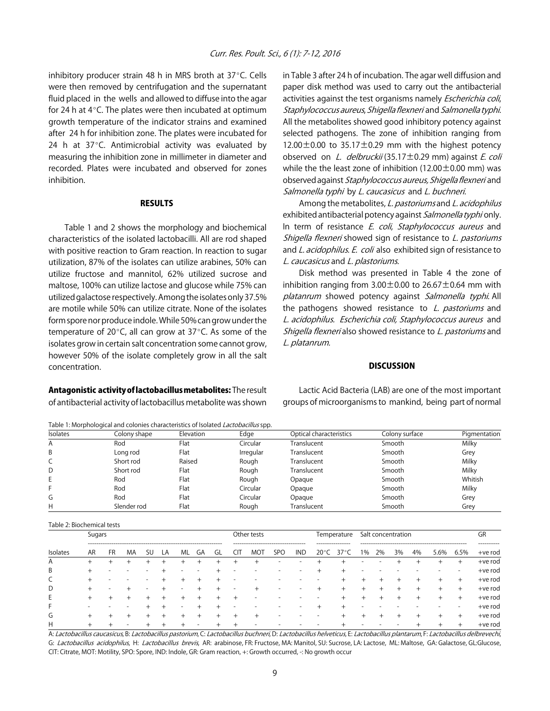inhibitory producer strain 48 h in MRS broth at  $37^{\circ}$ C. Cells were then removed by centrifugation and the supernatant fluid placed in the wells and allowed to diffuse into the agar for 24 h at  $4^{\circ}$ C. The plates were then incubated at optimum growth temperature of the indicator strains and examined after 24 h for inhibition zone. The plates were incubated for 24 h at  $37^{\circ}$ C. Antimicrobial activity was evaluated by measuring the inhibition zone in millimeter in diameter and recorded. Plates were incubated and observed for zones inhibition.

#### **RESULTS**

Table 1 and 2 shows the morphology and biochemical characteristics of the isolated lactobacilli. All are rod shaped with positive reaction to Gram reaction. In reaction to sugar utilization, 87% of the isolates can utilize arabines, 50% can utilize fructose and mannitol, 62% utilized sucrose and maltose, 100% can utilize lactose and glucose while 75% can utilized galactose respectively. Among the isolates only 37.5% are motile while 50% can utilize citrate. None of the isolates form spore nor produce indole. While 50% can grow under the temperature of 20 $\degree$ C, all can grow at 37 $\degree$ C. As some of the isolates grow in certain salt concentration some cannot grow, however 50% of the isolate completely grow in all the salt concentration.

Antagonistic activity of lactobacillus metabolites: The result of antibacterial activity of lactobacillus metabolite was shown

Table 1: Morphological and colonies characteristics of Isolated Lactobacillus spp.

in Table 3 after 24 h of incubation. The agar well diffusion and paper disk method was used to carry out the antibacterial activities against the test organisms namely Escherichia coli, Staphylococcus aureus, Shigella flexneri and Salmonella typhi. All the metabolites showed good inhibitory potency against selected pathogens. The zone of inhibition ranging from  $12.00\pm0.00$  to 35.17 $\pm$ 0.29 mm with the highest potency observed on L. delbruckii (35.17 $\pm$ 0.29 mm) against E. coli while the the least zone of inhibition (12.00 $\pm$ 0.00 mm) was observed against Staphylococcus aureus, Shigella flexneri and Salmonella typhi by L. caucasicus and L. buchneri.

Among the metabolites, L. pastoriums and L. acidophilus exhibited antibacterial potency against Salmonella typhi only. In term of resistance E. coli, Staphylococcus aureus and Shigella flexneri showed sign of resistance to L. pastoriums and L. acidophilus. E. coli also exhibited sign of resistance to L. caucasicus and L. plastoriums.

Disk method was presented in Table 4 the zone of inhibition ranging from  $3.00\pm0.00$  to  $26.67\pm0.64$  mm with platanrum showed potency against Salmonella typhi. All the pathogens showed resistance to  $L$ . pastoriums and L. acidophilus. Escherichia coli, Staphylococcus aureus and Shigella flexneri also showed resistance to L. pastoriums and L. platanrum.

#### **DISCUSSION**

Lactic Acid Bacteria (LAB) are one of the most important groups of microorganisms to mankind, being part of normal

| <b>Isolates</b> | Colony shape | Elevation | Edge      | Optical characteristics | Colony surface | Pigmentation |  |
|-----------------|--------------|-----------|-----------|-------------------------|----------------|--------------|--|
| A               | Rod          | Flat      | Circular  | Translucent             | Smooth         | Milky        |  |
| B               | Long rod     | Flat      | Irregular | Translucent             | Smooth         | Grey         |  |
| C               | Short rod    | Raised    | Rough     | Translucent             | Smooth         | Milky        |  |
| D               | Short rod    | Flat      | Rough     | Translucent             | Smooth         | Milky        |  |
| E               | Rod          | Flat      | Rough     | Opaque                  | Smooth         | Whitish      |  |
|                 | Rod          | Flat      | Circular  | Opaque                  | Smooth         | Milky        |  |
| G               | Rod          | Flat      | Circular  | Opaque                  | Smooth         | Grey         |  |
| Н               | Slender rod  | Flat      | Rough     | Translucent             | Smooth         | Grey         |  |

Table 2: Biochemical tests

| Table 2. Diventifical tests |    |        |    |    |    |    |    |     |             |                                             |     |             |  |                                                   |       |    |    |    |      |        |                        |
|-----------------------------|----|--------|----|----|----|----|----|-----|-------------|---------------------------------------------|-----|-------------|--|---------------------------------------------------|-------|----|----|----|------|--------|------------------------|
|                             |    | Sugars |    |    |    |    |    |     | Other tests |                                             |     | Temperature |  | Salt concentration                                |       |    |    |    |      | GR     |                        |
| <b>Isolates</b>             | AR | FR     | MA | SU | LA | ML | GA | GI. | U۱          | ------------------------------------<br>MOT | SPO | <b>IND</b>  |  | ----------------<br>20 $\degree$ C 37 $\degree$ C | $1\%$ | 2% | 3% | 4% | 5.6% | 6.5%   | ---------<br>$+ve$ rod |
| A                           |    |        |    |    |    |    |    |     |             |                                             |     |             |  |                                                   |       |    |    |    |      | $^+$   | $+ve$ rod              |
| В                           |    |        |    |    |    |    |    |     |             |                                             |     |             |  |                                                   |       |    |    |    |      |        | +ve rod                |
| C                           |    |        |    |    |    |    |    |     |             |                                             |     |             |  |                                                   |       |    |    |    |      | $^+$   | $+ve$ rod              |
| D                           |    |        |    |    |    |    |    |     |             |                                             |     |             |  |                                                   |       |    |    |    | +    | $^+$   | $+ve$ rod              |
| E.                          |    | $\pm$  |    |    |    |    |    |     |             |                                             |     |             |  |                                                   |       |    |    |    | $^+$ | $^+$   | +ve rod                |
| F                           |    |        |    |    |    |    |    |     |             |                                             |     |             |  |                                                   |       |    |    |    |      |        | $+ve$ rod              |
| G                           | +  |        |    |    |    |    |    |     |             |                                             |     |             |  |                                                   |       |    |    |    | +    | $^+$   | +ve rod                |
| Н                           |    |        |    |    |    |    |    |     |             |                                             |     |             |  |                                                   |       |    |    |    |      | $^{+}$ | $+ve$ rod              |

A: Lactobacillus caucasicus, B: Lactobacillus pastorium, C: Lactobacillus buchneri, D: Lactobacillus helveticus, E: Lactobacillus plantarum, F: Lactobacillus delbrevechi, G: Lactobacillus acidophilus, H: Lactobacillus brevis, AR: arabinose, FR: Fructose, MA: Manitol, SU: Sucrose, LA: Lactose, ML: Maltose, GA: Galactose, GL: Glucose, CIT: Citrate, MOT: Motility, SPO: Spore, IND: Indole, GR: Gram reaction, +: Growth occurred, -: No growth occur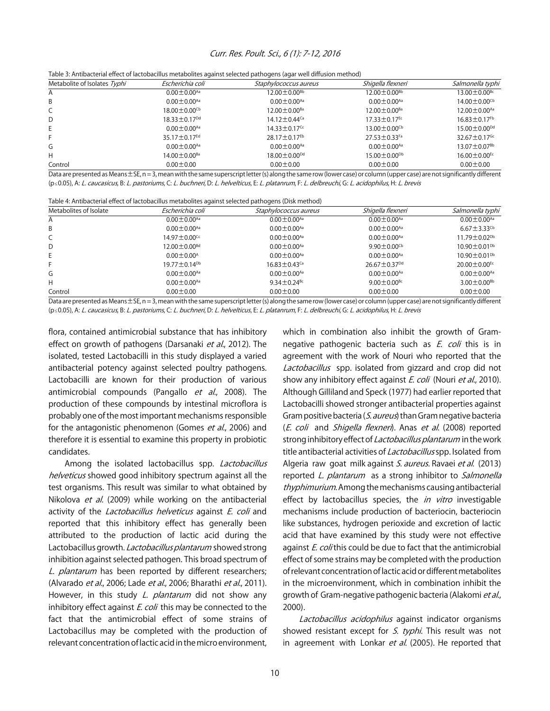#### Curr. Res. Poult. Sci., 6 (1): 7-12, 2016

Table 3: Antibacterial effect of lactobacillus metabolites against selected pathogens (agar well diffusion method)

| Metabolite of Isolates Typhi | Escherichia coli               | Staphylococcus aureus          | Shigella flexneri              | Salmonella typhi               |
|------------------------------|--------------------------------|--------------------------------|--------------------------------|--------------------------------|
| A                            | $0.00 \pm 0.00^{Aa}$           | $12.00 \pm 0.00$ <sup>Bb</sup> | $12.00 \pm 0.00$ <sup>Bb</sup> | $13.00 \pm 0.00$ <sup>Bc</sup> |
| B                            | $0.00 \pm 0.00^{Aa}$           | $0.00 \pm 0.00^{Aa}$           | $0.00 \pm 0.00^{Aa}$           | $14.00 \pm 0.00$ <sup>Cb</sup> |
| C                            | $18.00 \pm 0.00$ <sup>Cb</sup> | $12.00 \pm 0.00$ <sup>Ba</sup> | $12.00 \pm 0.00$ <sup>Ba</sup> | $12.00 \pm 0.00^{Aa}$          |
| D                            | $18.33 \pm 0.17$ <sup>Dd</sup> | $14.12 \pm 0.44$ <sup>Ca</sup> | $17.33 \pm 0.17$ <sup>Ec</sup> | $16.83 \pm 0.17$ <sup>Fb</sup> |
| E                            | $0.00 \pm 0.00^{Aa}$           | $14.33 \pm 0.17$ <sup>Cc</sup> | $13.00 \pm 0.00$ <sup>Cb</sup> | $15.00 \pm 0.00$ <sup>Dd</sup> |
|                              | $35.17 \pm 0.17$ <sup>Ed</sup> | $28.17 \pm 0.17$ <sup>Eb</sup> | $27.53 \pm 0.33$ Fa            | 32.67 $\pm$ 0.17 <sup>Gc</sup> |
| G                            | $0.00 \pm 0.00^{Aa}$           | $0.00 \pm 0.00^{Aa}$           | $0.00 \pm 0.00^{Aa}$           | $13.07 \pm 0.07$ <sup>Bb</sup> |
| Н                            | $14.00 \pm 0.00$ <sup>Ba</sup> | $18.00 \pm 0.00^{pd}$          | $15.00 \pm 0.00$ <sup>Db</sup> | $16.00 \pm 0.00$ <sup>Ec</sup> |
| Control                      | $0.00 \pm 0.00$                | $0.00 \pm 0.00$                | $0.00 \pm 0.00$                | $0.00 \pm 0.00$                |

Data are presented as Means±SE, n = 3, mean with the same superscript letter (s) along the same row (lower case) or column (upper case) are not significantly different (p < 0.05), A: L. caucasicus, B: L. pastoriums, C: L. buchneri, D: L. helvelticus, E: L. platanrum, F: L. delbreuchi, G: L. acidophilus, H: L. brevis

| Table 4: Antibacterial effect of lactobacillus metabolites against selected pathogens (Disk method) |
|-----------------------------------------------------------------------------------------------------|
|-----------------------------------------------------------------------------------------------------|

| Metabolites of Isolate | Escherichia coli               | Staphylococcus aureus          | Shigella flexneri              | Salmonella typhi               |  |  |
|------------------------|--------------------------------|--------------------------------|--------------------------------|--------------------------------|--|--|
| Α                      | $0.00 \pm 0.00^{Aa}$           | $0.00 \pm 0.00^{Aa}$           | $0.00 \pm 0.00^{Aa}$           | $0.00 \pm 0.00^{Aa}$           |  |  |
| B                      | $0.00 \pm 0.00^{Aa}$           | $0.00 \pm 0.00^{Aa}$           | $0.00 \pm 0.00^{Aa}$           | $6.67 \pm 3.33$ <sup>Cb</sup>  |  |  |
| C                      | $14.97 \pm 0.00$ <sup>Cc</sup> | $0.00 \pm 0.00^{Aa}$           | $0.00 \pm 0.00^{Aa}$           | $11.79 \pm 0.02^{Db}$          |  |  |
| D                      | $12.00 \pm 0.00$ <sup>Bd</sup> | $0.00 \pm 0.00$ <sup>Aa</sup>  | $9.90 \pm 0.00$ <sup>Cb</sup>  | $10.90 \pm 0.01$ <sup>Db</sup> |  |  |
| E.                     | $0.00 \pm 0.00^{\text{A}}$     | $0.00 \pm 0.00^{Aa}$           | $0.00 \pm 0.00^{Aa}$           | $10.90 \pm 0.01^{Db}$          |  |  |
|                        | $19.77 \pm 0.14^{Db}$          | $16.83 \pm 0.43$ <sup>Ca</sup> | $26.67 \pm 0.37$ <sup>Dd</sup> | $20.00 \pm 0.00$ <sup>Ec</sup> |  |  |
| G                      | $0.00 \pm 0.00^{Aa}$           | $0.00 \pm 0.00^{Aa}$           | $0.00 \pm 0.00^{Aa}$           | $0.00 \pm 0.00^{Aa}$           |  |  |
| Н                      | $0.00 \pm 0.00^{Aa}$           | 9.34 ± 0.24 <sup>Bc</sup>      | 9.00 ± 0.00 <sup>Bc</sup>      | $3.00 \pm 0.00$ <sup>Bb</sup>  |  |  |
| Control                | $0.00 \pm 0.00$                | $0.00 \pm 0.00$                | $0.00 \pm 0.00$                | $0.00 \pm 0.00$                |  |  |

Data are presented as Means ± SE, n = 3, mean with the same superscript letter (s) along the same row (lower case) or column (upper case) are not significantly different (p < 0.05), A: L. caucasicus, B: L. pastoriums, C: L. buchneri, D: L. helvelticus, E: L. platanrum, F: L. delbreuchi, G: L. acidophilus, H: L. brevis

flora, contained antimicrobial substance that has inhibitory effect on growth of pathogens (Darsanaki et al., 2012). The isolated, tested Lactobacilli in this study displayed a varied antibacterial potency against selected poultry pathogens. Lactobacilli are known for their production of various antimicrobial compounds (Pangallo et al., 2008). The production of these compounds by intestinal microflora is probably one of the most important mechanisms responsible for the antagonistic phenomenon (Gomes et al., 2006) and therefore it is essential to examine this property in probiotic candidates.

Among the isolated lactobacillus spp. Lactobacillus helveticus showed good inhibitory spectrum against all the test organisms. This result was similar to what obtained by Nikolova et al. (2009) while working on the antibacterial activity of the *Lactobacillus helveticus* against *E. coli* and reported that this inhibitory effect has generally been attributed to the production of lactic acid during the Lactobacillus growth. Lactobacillus plantarum showed strong inhibition against selected pathogen. This broad spectrum of L. plantarum has been reported by different researchers; (Alvarado et al., 2006; Lade et al., 2006; Bharathi et al., 2011). However, in this study L. plantarum did not show any inhibitory effect against E. coli this may be connected to the fact that the antimicrobial effect of some strains of Lactobacillus may be completed with the production of relevant concentration of lactic acid in the micro environment,

which in combination also inhibit the growth of Gramnegative pathogenic bacteria such as E. coli this is in agreement with the work of Nouri who reported that the Lactobacillus spp. isolated from gizzard and crop did not show any inhibitory effect against E. coli (Nouri et al., 2010). Although Gilliland and Speck (1977) had earlier reported that Lactobacilli showed stronger antibacterial properties against Gram positive bacteria (S. aureus) than Gram negative bacteria (E. coli and Shigella flexneri). Anas et al. (2008) reported strong inhibitory effect of Lactobacillus plantarum in the work title antibacterial activities of *Lactobacillus* spp. Isolated from Algeria raw goat milk against S. aureus. Ravaei et al. (2013) reported L. plantarum as a strong inhibitor to Salmonella thyphimurium. Among the mechanisms causing antibacterial effect by lactobacillus species, the *in vitro* investigable mechanisms include production of bacteriocin, bacteriocin like substances, hydrogen perioxide and excretion of lactic acid that have examined by this study were not effective against E. coli this could be due to fact that the antimicrobial effect of some strains may be completed with the production of relevant concentration of lactic acid or different metabolites in the microenvironment, which in combination inhibit the growth of Gram-negative pathogenic bacteria (Alakomi et al., 2000).

Lactobacillus acidophilus against indicator organisms showed resistant except for S. typhi. This result was not in agreement with Lonkar et al. (2005). He reported that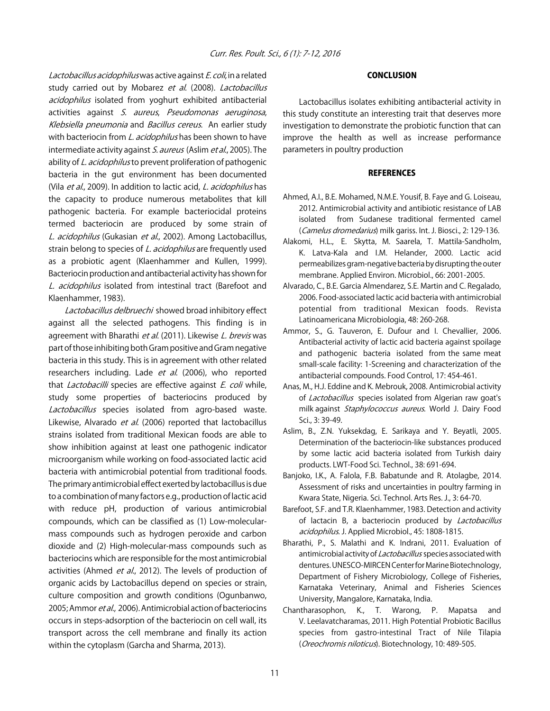Lactobacillus acidophilus was active against E. coli, in a related study carried out by Mobarez et al. (2008). Lactobacillus acidophilus isolated from yoghurt exhibited antibacterial activities against S. aureus, Pseudomonas aeruginosa, Klebsiella pneumonia and Bacillus cereus. An earlier study with bacteriocin from *L. acidophilus* has been shown to have intermediate activity against S. aureus (Aslim et al., 2005). The ability of L. acidophilus to prevent proliferation of pathogenic bacteria in the gut environment has been documented (Vila et al., 2009). In addition to lactic acid, L. acidophilus has the capacity to produce numerous metabolites that kill pathogenic bacteria. For example bacteriocidal proteins termed bacteriocin are produced by some strain of L. acidophilus (Gukasian et al., 2002). Among Lactobacillus, strain belong to species of *L. acidophilus* are frequently used as a probiotic agent (Klaenhammer and Kullen, 1999). Bacteriocin production and antibacterial activity has shown for L. acidophilus isolated from intestinal tract (Barefoot and Klaenhammer, 1983).

Lactobacillus delbruechi showed broad inhibitory effect against all the selected pathogens. This finding is in agreement with Bharathi et al. (2011). Likewise L. brevis was part of those inhibiting both Gram positive and Gram negative bacteria in this study. This is in agreement with other related researchers including. Lade et al. (2006), who reported that *Lactobacilli* species are effective against  $E$ . coli while, study some properties of bacteriocins produced by Lactobacillus species isolated from agro-based waste. Likewise, Alvarado et al. (2006) reported that lactobacillus strains isolated from traditional Mexican foods are able to show inhibition against at least one pathogenic indicator microorganism while working on food-associated lactic acid bacteria with antimicrobial potential from traditional foods. The primary antimicrobial effect exerted by lactobacillus is due to a combination of many factors e.g., production of lactic acid with reduce pH, production of various antimicrobial compounds, which can be classified as (1) Low-molecularmass compounds such as hydrogen peroxide and carbon dioxide and (2) High-molecular-mass compounds such as bacteriocins which are responsible for the most antimicrobial activities (Ahmed et al., 2012). The levels of production of organic acids by Lactobacillus depend on species or strain, culture composition and growth conditions (Ogunbanwo, 2005; Ammor et al., 2006). Antimicrobial action of bacteriocins occurs in steps-adsorption of the bacteriocin on cell wall, its transport across the cell membrane and finally its action within the cytoplasm (Garcha and Sharma, 2013).

#### CONCLUSION

Lactobacillus isolates exhibiting antibacterial activity in this study constitute an interesting trait that deserves more investigation to demonstrate the probiotic function that can improve the health as well as increase performance parameters in poultry production

#### **REFERENCES**

- Ahmed, A.I., B.E. Mohamed, N.M.E. Yousif, B. Faye and G. Loiseau, 2012. Antimicrobial activity and antibiotic resistance of LAB isolated from Sudanese traditional fermented camel (Camelus dromedarius) milk gariss. Int. J. Biosci., 2: 129-136.
- Alakomi, H.L., E. Skytta, M. Saarela, T. Mattila-Sandholm, K. Latva-Kala and I.M. Helander, 2000. Lactic acid permeabilizes gram-negative bacteria by disrupting the outer membrane. Applied Environ. Microbiol., 66: 2001-2005.
- Alvarado, C., B.E. Garcia Almendarez, S.E. Martin and C. Regalado, 2006. Food-associated lactic acid bacteria with antimicrobial potential from traditional Mexican foods. Revista Latinoamericana Microbiologia, 48: 260-268.
- Ammor, S., G. Tauveron, E. Dufour and I. Chevallier, 2006. Antibacterial activity of lactic acid bacteria against spoilage and pathogenic bacteria isolated from the same meat small-scale facility: 1-Screening and characterization of the antibacterial compounds. Food Control, 17: 454-461.
- Anas, M., H.J. Eddine and K. Mebrouk, 2008. Antimicrobial activity of Lactobacillus species isolated from Algerian raw goat's milk against Staphylococcus aureus. World J. Dairy Food Sci., 3: 39-49.
- Aslim, B., Z.N. Yuksekdag, E. Sarikaya and Y. Beyatli, 2005. Determination of the bacteriocin-like substances produced by some lactic acid bacteria isolated from Turkish dairy products. LWT-Food Sci. Technol., 38: 691-694.
- Banjoko, I.K., A. Falola, F.B. Babatunde and R. Atolagbe, 2014. Assessment of risks and uncertainties in poultry farming in Kwara State, Nigeria. Sci. Technol. Arts Res. J., 3: 64-70.
- Barefoot, S.F. and T.R. Klaenhammer, 1983. Detection and activity of lactacin B, a bacteriocin produced by *Lactobacillus* acidophilus. J. Applied Microbiol., 45: 1808-1815.
- Bharathi, P., S. Malathi and K. Indrani, 2011. Evaluation of antimicrobial activity of Lactobacillus species associated with dentures. UNESCO-MIRCEN Center for Marine Biotechnology, Department of Fishery Microbiology, College of Fisheries, Karnataka Veterinary, Animal and Fisheries Sciences University, Mangalore, Karnataka, India.
- Chantharasophon, K., T. Warong, P. Mapatsa and V. Leelavatcharamas, 2011. High Potential Probiotic Bacillus species from gastro-intestinal Tract of Nile Tilapia (Oreochromis niloticus). Biotechnology, 10: 489-505.